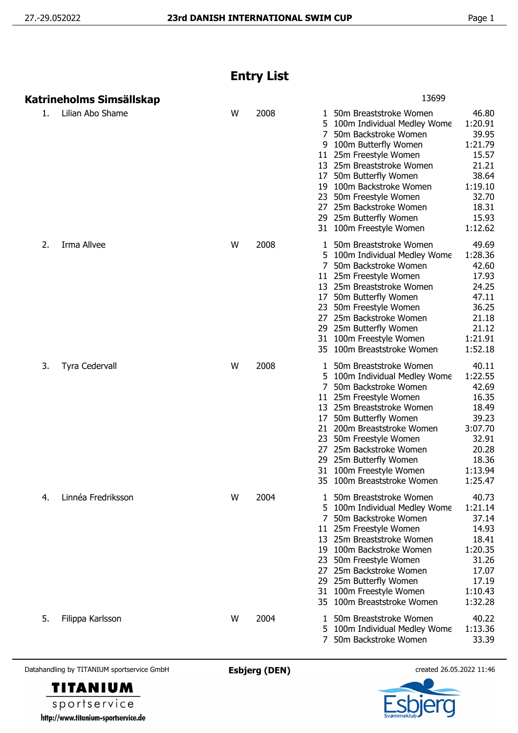## **Entry List**

|    | Katrineholms Simsällskap |   |      | 13699                                                                                                                                                                                                                                                                                                                                                                                                                                                                           |
|----|--------------------------|---|------|---------------------------------------------------------------------------------------------------------------------------------------------------------------------------------------------------------------------------------------------------------------------------------------------------------------------------------------------------------------------------------------------------------------------------------------------------------------------------------|
| 1. | Lilian Abo Shame         | W | 2008 | 50m Breaststroke Women<br>46.80<br>1<br>1:20.91<br>5.<br>100m Individual Medley Wome<br>39.95<br>50m Backstroke Women<br>100m Butterfly Women<br>1:21.79<br>9<br>15.57<br>11 25m Freestyle Women<br>13 25m Breaststroke Women<br>21.21<br>38.64<br>50m Butterfly Women<br>17<br>1:19.10<br>100m Backstroke Women<br>19<br>32.70<br>23<br>50m Freestyle Women<br>18.31<br>25m Backstroke Women<br>27<br>25m Butterfly Women<br>15.93<br>29<br>1:12.62<br>31 100m Freestyle Women |
| 2. | Irma Allvee              | W | 2008 | 49.69<br>50m Breaststroke Women<br>1:28.36<br>5<br>100m Individual Medley Wome<br>42.60<br>50m Backstroke Women<br>17.93<br>25m Freestyle Women<br>11<br>24.25<br>13 25m Breaststroke Women<br>47.11<br>50m Butterfly Women<br>17<br>36.25<br>50m Freestyle Women<br>23<br>21.18<br>27<br>25m Backstroke Women<br>21.12<br>29<br>25m Butterfly Women<br>1:21.91<br>100m Freestyle Women<br>31<br>1:52.18<br>35 100m Breaststroke Women                                          |
| 3. | <b>Tyra Cedervall</b>    | W | 2008 | 40.11<br>50m Breaststroke Women<br>1<br>1:22.55<br>100m Individual Medley Wome<br>50m Backstroke Women<br>42.69<br>11 25m Freestyle Women<br>16.35<br>13 25m Breaststroke Women<br>18.49<br>39.23<br>50m Butterfly Women<br>17<br>3:07.70<br>21 200m Breaststroke Women<br>50m Freestyle Women<br>32.91<br>23<br>25m Backstroke Women<br>20.28<br>27<br>25m Butterfly Women<br>18.36<br>29<br>1:13.94<br>31 100m Freestyle Women<br>1:25.47<br>35 100m Breaststroke Women       |
| 4. | Linnéa Fredriksson       | W | 2004 | 40.73<br>1 50m Breaststroke Women<br>1:21.14<br>5 100m Individual Medley Wome<br>37.14<br>50m Backstroke Women<br>7<br>11 25m Freestyle Women<br>14.93<br>13 25m Breaststroke Women<br>18.41<br>1:20.35<br>19 100m Backstroke Women<br>23 50m Freestyle Women<br>31.26<br>27 25m Backstroke Women<br>17.07<br>29 25m Butterfly Women<br>17.19<br>100m Freestyle Women<br>1:10.43<br>31<br>35 100m Breaststroke Women<br>1:32.28                                                 |
| 5. | Filippa Karlsson         | W | 2004 | 40.22<br>50m Breaststroke Women<br>L<br>1:13.36<br>5 100m Individual Medley Wome<br>33.39<br>7 50m Backstroke Women                                                                                                                                                                                                                                                                                                                                                             |

Datahandling by TITANIUM sportservice GmbH **Esbjerg (DEN)** created 26.05.2022 11:46



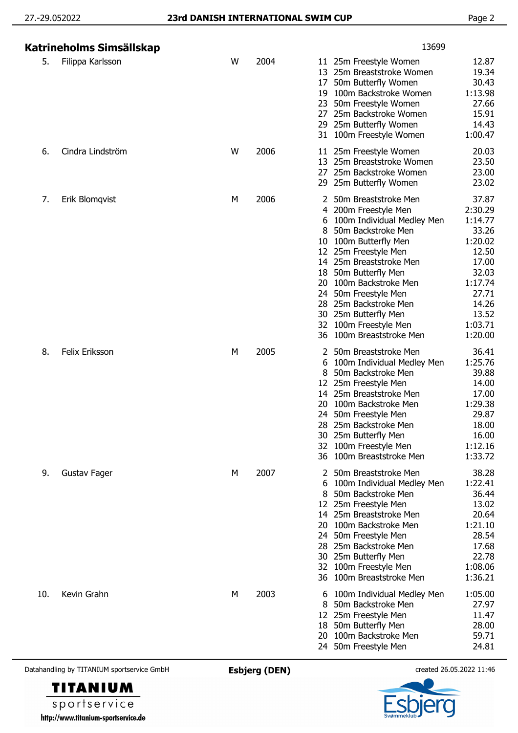|                                            | Katrineholms Simsällskap |                      |      | 13699                                       |                                                                                                                                                                                                                                                                                                                                          |                                                                                                                                        |
|--------------------------------------------|--------------------------|----------------------|------|---------------------------------------------|------------------------------------------------------------------------------------------------------------------------------------------------------------------------------------------------------------------------------------------------------------------------------------------------------------------------------------------|----------------------------------------------------------------------------------------------------------------------------------------|
| 5.                                         | Filippa Karlsson         | W                    | 2004 | 13<br>17<br>19<br>23<br>27.<br>31           | 11 25m Freestyle Women<br>25m Breaststroke Women<br>50m Butterfly Women<br>100m Backstroke Women<br>50m Freestyle Women<br>25m Backstroke Women<br>29 25m Butterfly Women<br>100m Freestyle Women                                                                                                                                        | 12.87<br>19.34<br>30.43<br>1:13.98<br>27.66<br>15.91<br>14.43<br>1:00.47                                                               |
| 6.                                         | Cindra Lindström         | W                    | 2006 | 11<br>13<br>27<br>29                        | 25m Freestyle Women<br>25m Breaststroke Women<br>25m Backstroke Women<br>25m Butterfly Women                                                                                                                                                                                                                                             | 20.03<br>23.50<br>23.00<br>23.02                                                                                                       |
| 7.                                         | Erik Blomqvist           | М                    | 2006 | 4<br>6<br>10<br>18<br>20<br>24<br>28.<br>36 | 50m Breaststroke Men<br>200m Freestyle Men<br>100m Individual Medley Men<br>50m Backstroke Men<br>100m Butterfly Men<br>12 25m Freestyle Men<br>14 25m Breaststroke Men<br>50m Butterfly Men<br>100m Backstroke Men<br>50m Freestyle Men<br>25m Backstroke Men<br>30 25m Butterfly Men<br>32 100m Freestyle Men<br>100m Breaststroke Men | 37.87<br>2:30.29<br>1:14.77<br>33.26<br>1:20.02<br>12.50<br>17.00<br>32.03<br>1:17.74<br>27.71<br>14.26<br>13.52<br>1:03.71<br>1:20.00 |
| 8.                                         | <b>Felix Eriksson</b>    | М                    | 2005 | 12<br>14<br>20<br>24<br>28<br>32<br>36      | 2 50m Breaststroke Men<br>100m Individual Medley Men<br>50m Backstroke Men<br>25m Freestyle Men<br>25m Breaststroke Men<br>100m Backstroke Men<br>50m Freestyle Men<br>25m Backstroke Men<br>30 25m Butterfly Men<br>100m Freestyle Men<br>100m Breaststroke Men                                                                         | 36.41<br>1:25.76<br>39.88<br>14.00<br>17.00<br>1:29.38<br>29.87<br>18.00<br>16.00<br>1:12.16<br>1:33.72                                |
| 9.                                         | Gustav Fager             | M                    | 2007 | 8<br>12<br>14<br>20<br>24<br>28<br>32<br>36 | 50m Breaststroke Men<br>100m Individual Medley Men<br>50m Backstroke Men<br>25m Freestyle Men<br>25m Breaststroke Men<br>100m Backstroke Men<br>50m Freestyle Men<br>25m Backstroke Men<br>30 25m Butterfly Men<br>100m Freestyle Men<br>100m Breaststroke Men                                                                           | 38.28<br>1:22.41<br>36.44<br>13.02<br>20.64<br>1:21.10<br>28.54<br>17.68<br>22.78<br>1:08.06<br>1:36.21                                |
| 10.                                        | Kevin Grahn              | M                    | 2003 | 6<br>12.<br>18<br>20<br>24                  | 100m Individual Medley Men<br>50m Backstroke Men<br>25m Freestyle Men<br>50m Butterfly Men<br>100m Backstroke Men<br>50m Freestyle Men                                                                                                                                                                                                   | 1:05.00<br>27.97<br>11.47<br>28.00<br>59.71<br>24.81                                                                                   |
| Datahandling by TITANIUM sportservice GmbH |                          | <b>Esbjerg (DEN)</b> |      | created 26.05.2022 11:46                    |                                                                                                                                                                                                                                                                                                                                          |                                                                                                                                        |

**TITANIUM** sportservice http://www.titanium-sportservice.de

FI Q